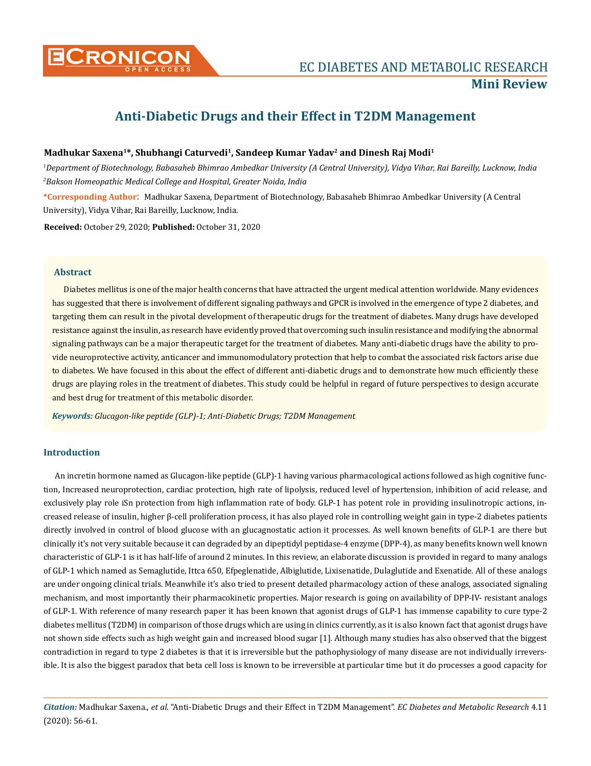

# **Anti-Diabetic Drugs and their Effect in T2DM Management**

## Madhukar Saxena<sup>1\*</sup>, Shubhangi Caturvedi<sup>1</sup>, Sandeep Kumar Yadav<sup>2</sup> and Dinesh Raj Modi<sup>1</sup>

*1 Department of Biotechnology, Babasaheb Bhimrao Ambedkar University (A Central University), Vidya Vihar, Rai Bareilly, Lucknow, India 2 Bakson Homeopathic Medical College and Hospital, Greater Noida, India*

**\*Corresponding Author**: Madhukar Saxena, Department of Biotechnology, Babasaheb Bhimrao Ambedkar University (A Central University), Vidya Vihar, Rai Bareilly, Lucknow, India.

**Received:** October 29, 2020; **Published:** October 31, 2020

### **Abstract**

Diabetes mellitus is one of the major health concerns that have attracted the urgent medical attention worldwide. Many evidences has suggested that there is involvement of different signaling pathways and GPCR is involved in the emergence of type 2 diabetes, and targeting them can result in the pivotal development of therapeutic drugs for the treatment of diabetes. Many drugs have developed resistance against the insulin, as research have evidently proved that overcoming such insulin resistance and modifying the abnormal signaling pathways can be a major therapeutic target for the treatment of diabetes. Many anti-diabetic drugs have the ability to provide neuroprotective activity, anticancer and immunomodulatory protection that help to combat the associated risk factors arise due to diabetes. We have focused in this about the effect of different anti-diabetic drugs and to demonstrate how much efficiently these drugs are playing roles in the treatment of diabetes. This study could be helpful in regard of future perspectives to design accurate and best drug for treatment of this metabolic disorder.

*Keywords: Glucagon-like peptide (GLP)-1; Anti-Diabetic Drugs; T2DM Management*

## **Introduction**

An incretin hormone named as Glucagon-like peptide (GLP)-1 having various pharmacological actions followed as high cognitive function, Increased neuroprotection, cardiac protection, high rate of lipolysis, reduced level of hypertension, inhibition of acid release, and exclusively play role iSn protection from high inflammation rate of body. GLP-1 has potent role in providing insulinotropic actions, increased release of insulin, higher β-cell proliferation process, it has also played role in controlling weight gain in type-2 diabetes patients directly involved in control of blood glucose with an glucagnostatic action it processes. As well known benefits of GLP-1 are there but clinically it's not very suitable because it can degraded by an dipeptidyl peptidase-4 enzyme (DPP-4), as many benefits known well known characteristic of GLP-1 is it has half-life of around 2 minutes. In this review, an elaborate discussion is provided in regard to many analogs of GLP-1 which named as Semaglutide, Ittca 650, Efpeglenatide, Albiglutide, Lixisenatide, Dulaglutide and Exenatide. All of these analogs are under ongoing clinical trials. Meanwhile it's also tried to present detailed pharmacology action of these analogs, associated signaling mechanism, and most importantly their pharmacokinetic properties. Major research is going on availability of DPP-IV- resistant analogs of GLP-1. With reference of many research paper it has been known that agonist drugs of GLP-1 has immense capability to cure type-2 diabetes mellitus (T2DM) in comparison of those drugs which are using in clinics currently, as it is also known fact that agonist drugs have not shown side effects such as high weight gain and increased blood sugar [1]. Although many studies has also observed that the biggest contradiction in regard to type 2 diabetes is that it is irreversible but the pathophysiology of many disease are not individually irreversible. It is also the biggest paradox that beta cell loss is known to be irreversible at particular time but it do processes a good capacity for

*Citation:* Madhukar Saxena., *et al*. "Anti-Diabetic Drugs and their Effect in T2DM Management". *EC Diabetes and Metabolic Research* 4.11 (2020): 56-61.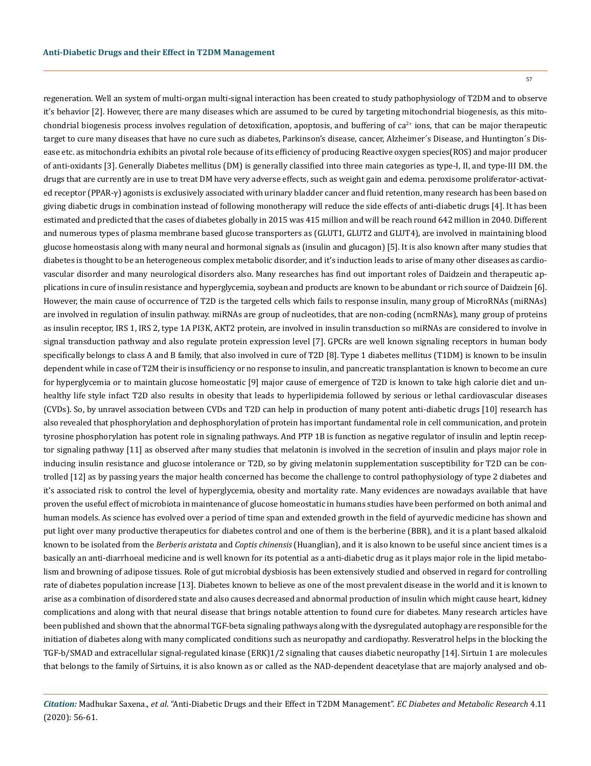57

regeneration. Well an system of multi-organ multi-signal interaction has been created to study pathophysiology of T2DM and to observe it's behavior [2]. However, there are many diseases which are assumed to be cured by targeting mitochondrial biogenesis, as this mitochondrial biogenesis process involves regulation of detoxification, apoptosis, and buffering of  $ca^{2+}$  ions, that can be major therapeutic target to cure many diseases that have no cure such as diabetes, Parkinson's disease, cancer, Alzheimer´s Disease, and Huntington´s Disease etc. as mitochondria exhibits an pivotal role because of its efficiency of producing Reactive oxygen species(ROS) and major producer of anti-oxidants [3]. Generally Diabetes mellitus (DM) is generally classified into three main categories as type-I, II, and type-III DM. the drugs that are currently are in use to treat DM have very adverse effects, such as weight gain and edema. peroxisome proliferator-activated receptor (PPAR-γ) agonists is exclusively associated with urinary bladder cancer and fluid retention, many research has been based on giving diabetic drugs in combination instead of following monotherapy will reduce the side effects of anti-diabetic drugs [4]. It has been estimated and predicted that the cases of diabetes globally in 2015 was 415 million and will be reach round 642 million in 2040. Different and numerous types of plasma membrane based glucose transporters as (GLUT1, GLUT2 and GLUT4), are involved in maintaining blood glucose homeostasis along with many neural and hormonal signals as (insulin and glucagon) [5]. It is also known after many studies that diabetes is thought to be an heterogeneous complex metabolic disorder, and it's induction leads to arise of many other diseases as cardiovascular disorder and many neurological disorders also. Many researches has find out important roles of Daidzein and therapeutic applications in cure of insulin resistance and hyperglycemia, soybean and products are known to be abundant or rich source of Daidzein [6]. However, the main cause of occurrence of T2D is the targeted cells which fails to response insulin, many group of MicroRNAs (miRNAs) are involved in regulation of insulin pathway. miRNAs are group of nucleotides, that are non-coding (ncmRNAs), many group of proteins as insulin receptor, IRS 1, IRS 2, type 1A PI3K, AKT2 protein, are involved in insulin transduction so miRNAs are considered to involve in signal transduction pathway and also regulate protein expression level [7]. GPCRs are well known signaling receptors in human body specifically belongs to class A and B family, that also involved in cure of T2D [8]. Type 1 diabetes mellitus (T1DM) is known to be insulin dependent while in case of T2M their is insufficiency or no response to insulin, and pancreatic transplantation is known to become an cure for hyperglycemia or to maintain glucose homeostatic [9] major cause of emergence of T2D is known to take high calorie diet and unhealthy life style infact T2D also results in obesity that leads to hyperlipidemia followed by serious or lethal cardiovascular diseases (CVDs). So, by unravel association between CVDs and T2D can help in production of many potent anti-diabetic drugs [10] research has also revealed that phosphorylation and dephosphorylation of protein has important fundamental role in cell communication, and protein tyrosine phosphorylation has potent role in signaling pathways. And PTP 1B is function as negative regulator of insulin and leptin receptor signaling pathway [11] as observed after many studies that melatonin is involved in the secretion of insulin and plays major role in inducing insulin resistance and glucose intolerance or T2D, so by giving melatonin supplementation susceptibility for T2D can be controlled [12] as by passing years the major health concerned has become the challenge to control pathophysiology of type 2 diabetes and it's associated risk to control the level of hyperglycemia, obesity and mortality rate. Many evidences are nowadays available that have proven the useful effect of microbiota in maintenance of glucose homeostatic in humans studies have been performed on both animal and human models. As science has evolved over a period of time span and extended growth in the field of ayurvedic medicine has shown and put light over many productive therapeutics for diabetes control and one of them is the berberine (BBR), and it is a plant based alkaloid known to be isolated from the *Berberis aristata* and *Coptis chinensis* (Huanglian), and it is also known to be useful since ancient times is a basically an anti-diarrhoeal medicine and is well known for its potential as a anti-diabetic drug as it plays major role in the lipid metabolism and browning of adipose tissues. Role of gut microbial dysbiosis has been extensively studied and observed in regard for controlling rate of diabetes population increase [13]. Diabetes known to believe as one of the most prevalent disease in the world and it is known to arise as a combination of disordered state and also causes decreased and abnormal production of insulin which might cause heart, kidney complications and along with that neural disease that brings notable attention to found cure for diabetes. Many research articles have been published and shown that the abnormal TGF-beta signaling pathways along with the dysregulated autophagy are responsible for the initiation of diabetes along with many complicated conditions such as neuropathy and cardiopathy. Resveratrol helps in the blocking the TGF-b/SMAD and extracellular signal-regulated kinase (ERK)1/2 signaling that causes diabetic neuropathy [14]. Sirtuin 1 are molecules that belongs to the family of Sirtuins, it is also known as or called as the NAD-dependent deacetylase that are majorly analysed and ob-

*Citation:* Madhukar Saxena., *et al*. "Anti-Diabetic Drugs and their Effect in T2DM Management". *EC Diabetes and Metabolic Research* 4.11 (2020): 56-61.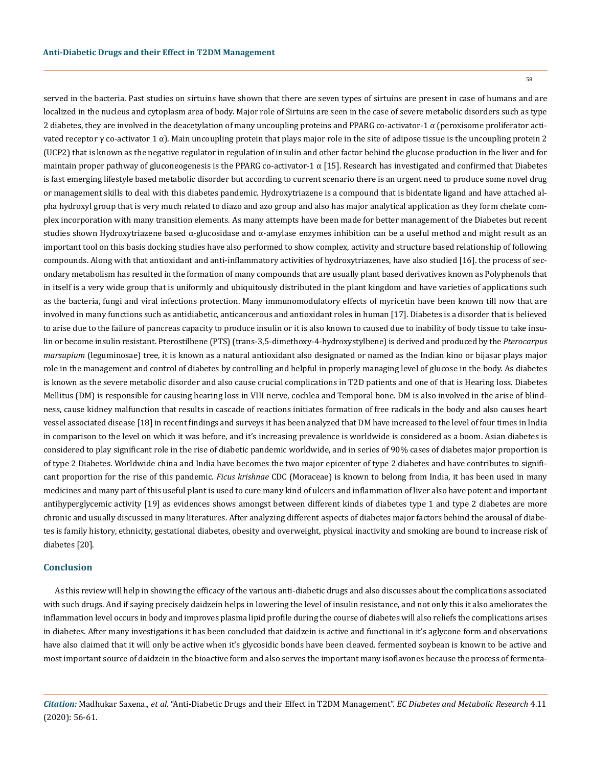58

served in the bacteria. Past studies on sirtuins have shown that there are seven types of sirtuins are present in case of humans and are localized in the nucleus and cytoplasm area of body. Major role of Sirtuins are seen in the case of severe metabolic disorders such as type 2 diabetes, they are involved in the deacetylation of many uncoupling proteins and PPARG co-activator-1  $\alpha$  (peroxisome proliferator activated receptor  $\gamma$  co-activator 1  $\alpha$ ). Main uncoupling protein that plays major role in the site of adipose tissue is the uncoupling protein 2 (UCP2) that is known as the negative regulator in regulation of insulin and other factor behind the glucose production in the liver and for maintain proper pathway of gluconeogenesis is the PPARG co-activator-1  $\alpha$  [15]. Research has investigated and confirmed that Diabetes is fast emerging lifestyle based metabolic disorder but according to current scenario there is an urgent need to produce some novel drug or management skills to deal with this diabetes pandemic. Hydroxytriazene is a compound that is bidentate ligand and have attached alpha hydroxyl group that is very much related to diazo and azo group and also has major analytical application as they form chelate complex incorporation with many transition elements. As many attempts have been made for better management of the Diabetes but recent studies shown Hydroxytriazene based  $\alpha$ -glucosidase and  $\alpha$ -amylase enzymes inhibition can be a useful method and might result as an important tool on this basis docking studies have also performed to show complex, activity and structure based relationship of following compounds. Along with that antioxidant and anti-inflammatory activities of hydroxytriazenes, have also studied [16]. the process of secondary metabolism has resulted in the formation of many compounds that are usually plant based derivatives known as Polyphenols that in itself is a very wide group that is uniformly and ubiquitously distributed in the plant kingdom and have varieties of applications such as the bacteria, fungi and viral infections protection. Many immunomodulatory effects of myricetin have been known till now that are involved in many functions such as antidiabetic, anticancerous and antioxidant roles in human [17]. Diabetes is a disorder that is believed to arise due to the failure of pancreas capacity to produce insulin or it is also known to caused due to inability of body tissue to take insulin or become insulin resistant. Pterostilbene (PTS) (trans-3,5-dimethoxy-4-hydroxystylbene) is derived and produced by the *Pterocarpus marsupium* (leguminosae) tree, it is known as a natural antioxidant also designated or named as the Indian kino or bijasar plays major role in the management and control of diabetes by controlling and helpful in properly managing level of glucose in the body. As diabetes is known as the severe metabolic disorder and also cause crucial complications in T2D patients and one of that is Hearing loss. Diabetes Mellitus (DM) is responsible for causing hearing loss in VIII nerve, cochlea and Temporal bone. DM is also involved in the arise of blindness, cause kidney malfunction that results in cascade of reactions initiates formation of free radicals in the body and also causes heart vessel associated disease [18] in recent findings and surveys it has been analyzed that DM have increased to the level of four times in India in comparison to the level on which it was before, and it's increasing prevalence is worldwide is considered as a boom. Asian diabetes is considered to play significant role in the rise of diabetic pandemic worldwide, and in series of 90% cases of diabetes major proportion is of type 2 Diabetes. Worldwide china and India have becomes the two major epicenter of type 2 diabetes and have contributes to significant proportion for the rise of this pandemic. *Ficus krishnae* CDC (Moraceae) is known to belong from India, it has been used in many medicines and many part of this useful plant is used to cure many kind of ulcers and inflammation of liver also have potent and important antihyperglycemic activity [19] as evidences shows amongst between different kinds of diabetes type 1 and type 2 diabetes are more chronic and usually discussed in many literatures. After analyzing different aspects of diabetes major factors behind the arousal of diabetes is family history, ethnicity, gestational diabetes, obesity and overweight, physical inactivity and smoking are bound to increase risk of diabetes [20].

### **Conclusion**

As this review will help in showing the efficacy of the various anti-diabetic drugs and also discusses about the complications associated with such drugs. And if saying precisely daidzein helps in lowering the level of insulin resistance, and not only this it also ameliorates the inflammation level occurs in body and improves plasma lipid profile during the course of diabetes will also reliefs the complications arises in diabetes. After many investigations it has been concluded that daidzein is active and functional in it's aglycone form and observations have also claimed that it will only be active when it's glycosidic bonds have been cleaved. fermented soybean is known to be active and most important source of daidzein in the bioactive form and also serves the important many isoflavones because the process of fermenta-

*Citation:* Madhukar Saxena., *et al*. "Anti-Diabetic Drugs and their Effect in T2DM Management". *EC Diabetes and Metabolic Research* 4.11 (2020): 56-61.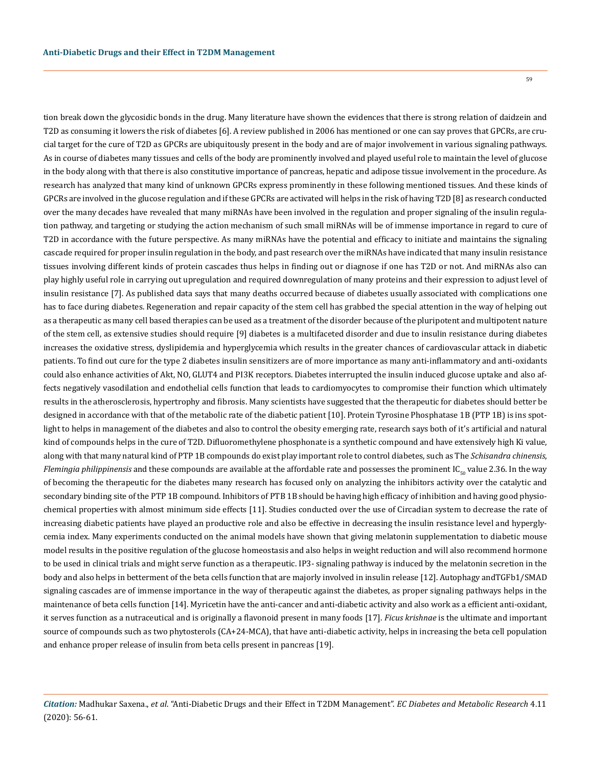59

tion break down the glycosidic bonds in the drug. Many literature have shown the evidences that there is strong relation of daidzein and T2D as consuming it lowers the risk of diabetes [6]. A review published in 2006 has mentioned or one can say proves that GPCRs, are crucial target for the cure of T2D as GPCRs are ubiquitously present in the body and are of major involvement in various signaling pathways. As in course of diabetes many tissues and cells of the body are prominently involved and played useful role to maintain the level of glucose in the body along with that there is also constitutive importance of pancreas, hepatic and adipose tissue involvement in the procedure. As research has analyzed that many kind of unknown GPCRs express prominently in these following mentioned tissues. And these kinds of GPCRs are involved in the glucose regulation and if these GPCRs are activated will helps in the risk of having T2D [8] as research conducted over the many decades have revealed that many miRNAs have been involved in the regulation and proper signaling of the insulin regulation pathway, and targeting or studying the action mechanism of such small miRNAs will be of immense importance in regard to cure of T2D in accordance with the future perspective. As many miRNAs have the potential and efficacy to initiate and maintains the signaling cascade required for proper insulin regulation in the body, and past research over the miRNAs have indicated that many insulin resistance tissues involving different kinds of protein cascades thus helps in finding out or diagnose if one has T2D or not. And miRNAs also can play highly useful role in carrying out upregulation and required downregulation of many proteins and their expression to adjust level of insulin resistance [7]. As published data says that many deaths occurred because of diabetes usually associated with complications one has to face during diabetes. Regeneration and repair capacity of the stem cell has grabbed the special attention in the way of helping out as a therapeutic as many cell based therapies can be used as a treatment of the disorder because of the pluripotent and multipotent nature of the stem cell, as extensive studies should require [9] diabetes is a multifaceted disorder and due to insulin resistance during diabetes increases the oxidative stress, dyslipidemia and hyperglycemia which results in the greater chances of cardiovascular attack in diabetic patients. To find out cure for the type 2 diabetes insulin sensitizers are of more importance as many anti-inflammatory and anti-oxidants could also enhance activities of Akt, NO, GLUT4 and PI3K receptors. Diabetes interrupted the insulin induced glucose uptake and also affects negatively vasodilation and endothelial cells function that leads to cardiomyocytes to compromise their function which ultimately results in the atherosclerosis, hypertrophy and fibrosis. Many scientists have suggested that the therapeutic for diabetes should better be designed in accordance with that of the metabolic rate of the diabetic patient [10]. Protein Tyrosine Phosphatase 1B (PTP 1B) is ins spotlight to helps in management of the diabetes and also to control the obesity emerging rate, research says both of it's artificial and natural kind of compounds helps in the cure of T2D. Difluoromethylene phosphonate is a synthetic compound and have extensively high Ki value, along with that many natural kind of PTP 1B compounds do exist play important role to control diabetes, such as The *Schisandra chinensis*, *Flemingia philippinensis* and these compounds are available at the affordable rate and possesses the prominent IC<sub>50</sub> value 2.36. In the way of becoming the therapeutic for the diabetes many research has focused only on analyzing the inhibitors activity over the catalytic and secondary binding site of the PTP 1B compound. Inhibitors of PTB 1B should be having high efficacy of inhibition and having good physiochemical properties with almost minimum side effects [11]. Studies conducted over the use of Circadian system to decrease the rate of increasing diabetic patients have played an productive role and also be effective in decreasing the insulin resistance level and hyperglycemia index. Many experiments conducted on the animal models have shown that giving melatonin supplementation to diabetic mouse model results in the positive regulation of the glucose homeostasis and also helps in weight reduction and will also recommend hormone to be used in clinical trials and might serve function as a therapeutic. IP3- signaling pathway is induced by the melatonin secretion in the body and also helps in betterment of the beta cells function that are majorly involved in insulin release [12]. Autophagy andTGFb1/SMAD signaling cascades are of immense importance in the way of therapeutic against the diabetes, as proper signaling pathways helps in the maintenance of beta cells function [14]. Myricetin have the anti-cancer and anti-diabetic activity and also work as a efficient anti-oxidant, it serves function as a nutraceutical and is originally a flavonoid present in many foods [17]. *Ficus krishnae* is the ultimate and important source of compounds such as two phytosterols (CA+24-MCA), that have anti-diabetic activity, helps in increasing the beta cell population and enhance proper release of insulin from beta cells present in pancreas [19].

*Citation:* Madhukar Saxena., *et al*. "Anti-Diabetic Drugs and their Effect in T2DM Management". *EC Diabetes and Metabolic Research* 4.11 (2020): 56-61.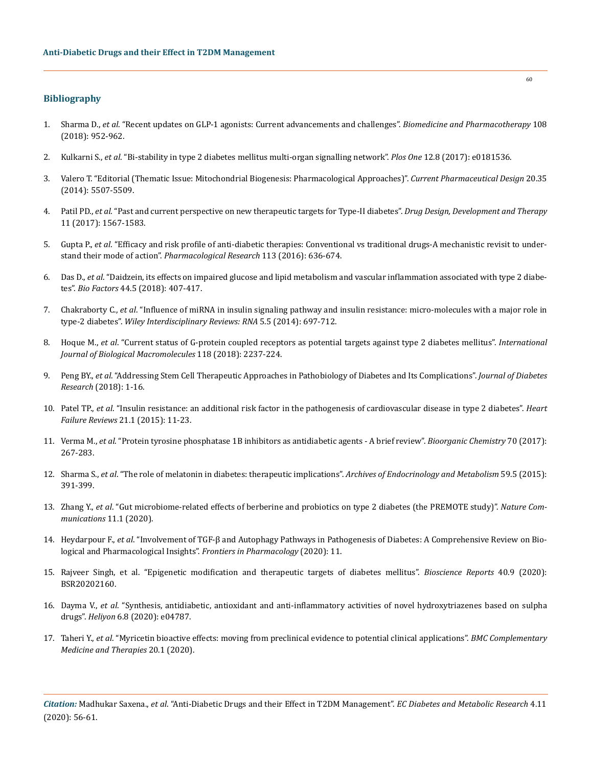## **Bibliography**

- 1. Sharma D., *et al*[. "Recent updates on GLP-1 agonists: Current advancements and challenges".](https://www.sciencedirect.com/science/article/pii/S0753332218327537) *Biomedicine and Pharmacotherapy* 108 [\(2018\): 952-962.](https://www.sciencedirect.com/science/article/pii/S0753332218327537)
- 2. Kulkarni S., *et al*[. "Bi-stability in type 2 diabetes mellitus multi-organ signalling network".](https://pubmed.ncbi.nlm.nih.gov/28767672/) *Plos One* 12.8 (2017): e0181536.
- 3. [Valero T. "Editorial \(Thematic Issue: Mitochondrial Biogenesis: Pharmacological Approaches\)".](https://www.eurekaselect.com/124512/article) *Current Pharmaceutical Design* 20.35 [\(2014\): 5507-5509.](https://www.eurekaselect.com/124512/article)
- 4. Patil PD., *et al*[. "Past and current perspective on new therapeutic targets for Type-II diabetes".](https://pubmed.ncbi.nlm.nih.gov/28579755/) *Drug Design, Development and Therapy* [11 \(2017\): 1567-1583.](https://pubmed.ncbi.nlm.nih.gov/28579755/)
- 5. Gupta P., *et al*[. "Efficacy and risk profile of anti-diabetic therapies: Conventional vs traditional drugs-A mechanistic revisit to under](https://pubmed.ncbi.nlm.nih.gov/27697646/)stand their mode of action". *[Pharmacological Research](https://pubmed.ncbi.nlm.nih.gov/27697646/)* 113 (2016): 636-674.
- 6. Das D., *et al*[. "Daidzein, its effects on impaired glucose and lipid metabolism and vascular inflammation associated with type 2 diabe](https://pubmed.ncbi.nlm.nih.gov/30191623/)tes". *Bio Factors* [44.5 \(2018\): 407-417.](https://pubmed.ncbi.nlm.nih.gov/30191623/)
- 7. Chakraborty C., *et al*[. "Influence of miRNA in insulin signaling pathway and insulin resistance: micro-molecules with a major role in](https://pubmed.ncbi.nlm.nih.gov/24944010/)  type-2 diabetes". *[Wiley Interdisciplinary Reviews: RNA](https://pubmed.ncbi.nlm.nih.gov/24944010/)* 5.5 (2014): 697-712.
- 8. Hoque M., *et al*[. "Current status of G-protein coupled receptors as potential targets against type 2 diabetes mellitus".](https://pubmed.ncbi.nlm.nih.gov/30030074/) *International [Journal of Biological Macromolecules](https://pubmed.ncbi.nlm.nih.gov/30030074/)* 118 (2018): 2237-224.
- 9. Peng BY., *et al*[. "Addressing Stem Cell Therapeutic Approaches in Pathobiology of Diabetes and Its Complications".](https://pubmed.ncbi.nlm.nih.gov/30046616/) *Journal of Diabetes Research* [\(2018\): 1-16.](https://pubmed.ncbi.nlm.nih.gov/30046616/)
- 10. Patel TP., *et al*[. "Insulin resistance: an additional risk factor in the pathogenesis of cardiovascular disease in type 2 diabetes".](https://pubmed.ncbi.nlm.nih.gov/26542377/) *Heart Failure Reviews* [21.1 \(2015\): 11-23.](https://pubmed.ncbi.nlm.nih.gov/26542377/)
- 11. Verma M., *et al*[. "Protein tyrosine phosphatase 1B inhibitors as antidiabetic agents A brief review".](https://www.sciencedirect.com/science/article/abs/pii/S0045206816302930) *Bioorganic Chemistry* 70 (2017): [267-283.](https://www.sciencedirect.com/science/article/abs/pii/S0045206816302930)
- 12. Sharma S., *et al*[. "The role of melatonin in diabetes: therapeutic implications".](https://www.researchgate.net/publication/281541967_The_role_of_melatonin_in_diabetes_Therapeutic_implications) *Archives of Endocrinology and Metabolism* 59.5 (2015): [391-399.](https://www.researchgate.net/publication/281541967_The_role_of_melatonin_in_diabetes_Therapeutic_implications)
- 13. Zhang Y., *et al*[. "Gut microbiome-related effects of berberine and probiotics on type 2 diabetes \(the PREMOTE study\)".](https://www.nature.com/articles/s41467-020-18414-8) *Nature Com[munications](https://www.nature.com/articles/s41467-020-18414-8)* 11.1 (2020).
- 14. Heydarpour F., *et al*[. "Involvement of TGF-β and Autophagy Pathways in Pathogenesis of Diabetes: A Comprehensive Review on Bio](https://www.frontiersin.org/articles/10.3389/fphar.2020.498758/full)[logical and Pharmacological Insights".](https://www.frontiersin.org/articles/10.3389/fphar.2020.498758/full) *Frontiers in Pharmacology* (2020): 11.
- 15. [Rajveer Singh, et al. "Epigenetic modification and therapeutic targets of diabetes mellitus".](https://pubmed.ncbi.nlm.nih.gov/32815547/) *Bioscience Reports* 40.9 (2020): [BSR20202160.](https://pubmed.ncbi.nlm.nih.gov/32815547/)
- 16. Dayma V., *et al*[. "Synthesis, antidiabetic, antioxidant and anti-inflammatory activities of novel hydroxytriazenes based on sulpha](https://www.sciencedirect.com/science/article/pii/S2405844020316303)  drugs". *Heliyon* [6.8 \(2020\): e04787.](https://www.sciencedirect.com/science/article/pii/S2405844020316303)
- 17. Taheri Y., *et al*[. "Myricetin bioactive effects: moving from preclinical evidence to potential clinical applications".](https://bmccomplementmedtherapies.biomedcentral.com/articles/10.1186/s12906-020-03033-z) *BMC Complementary [Medicine and Therapies](https://bmccomplementmedtherapies.biomedcentral.com/articles/10.1186/s12906-020-03033-z)* 20.1 (2020).

*Citation:* Madhukar Saxena., *et al*. "Anti-Diabetic Drugs and their Effect in T2DM Management". *EC Diabetes and Metabolic Research* 4.11 (2020): 56-61.

60